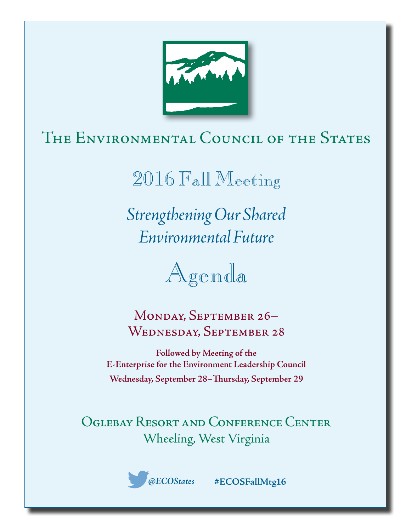

# The Environmental Council of the States

2016 Fall Meeting

*Strengthening Our Shared Environmental Future*



Monday, September 26– Wednesday, September 28

**Followed by Meeting of the E-Enterprise for the Environment Leadership Council Wednesday, September 28–Thursday, September 29**

Oglebay Resort and Conference Center Wheeling, West Virginia



*@ECOStates* **#ECOSFallMtg16**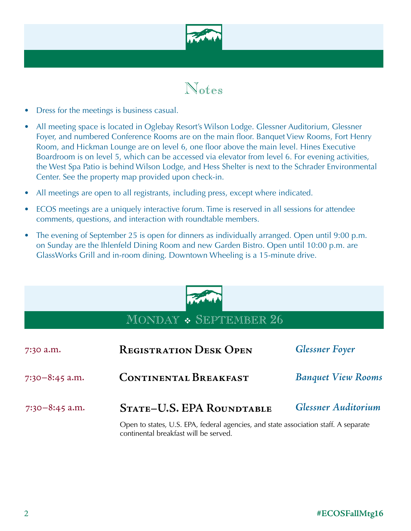

# Notes

- Dress for the meetings is business casual.
- All meeting space is located in Oglebay Resort's Wilson Lodge. Glessner Auditorium, Glessner Foyer, and numbered Conference Rooms are on the main floor. Banquet View Rooms, Fort Henry Room, and Hickman Lounge are on level 6, one floor above the main level. Hines Executive Boardroom is on level 5, which can be accessed via elevator from level 6. For evening activities, the West Spa Patio is behind Wilson Lodge, and Hess Shelter is next to the Schrader Environmental Center. See the property map provided upon check-in.
- All meetings are open to all registrants, including press, except where indicated.
- ECOS meetings are a uniquely interactive forum. Time is reserved in all sessions for attendee comments, questions, and interaction with roundtable members.
- The evening of September 25 is open for dinners as individually arranged. Open until 9:00 p.m. on Sunday are the Ihlenfeld Dining Room and new Garden Bistro. Open until 10:00 p.m. are GlassWorks Grill and in-room dining. Downtown Wheeling is a 15-minute drive.



## MONDAY \* SEPTEMBER 26

| 7:30 a.m.        | <b>REGISTRATION DESK OPEN</b>                                                                                                | <b>Glessner Foyer</b>      |
|------------------|------------------------------------------------------------------------------------------------------------------------------|----------------------------|
| $7:30-8:45$ a.m. | <b>CONTINENTAL BREAKFAST</b>                                                                                                 | <b>Banquet View Rooms</b>  |
| $7:30-8:45$ a.m. | STATE-U.S. EPA ROUNDTABLE                                                                                                    | <b>Glessner Auditorium</b> |
|                  | Open to states, U.S. EPA, federal agencies, and state association staff. A separate<br>continental breakfast will be served. |                            |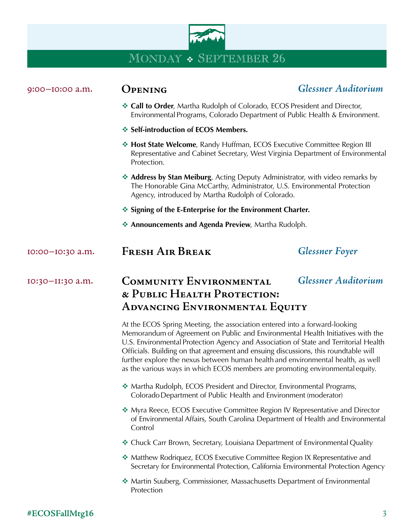

| 9:00-I0:00 a.m.  | <b>OPENING</b>                                                                                                                                                                                                                                                                                                                                                                                                                                                                                                    | <b>Glessner Auditorium</b> |  |
|------------------|-------------------------------------------------------------------------------------------------------------------------------------------------------------------------------------------------------------------------------------------------------------------------------------------------------------------------------------------------------------------------------------------------------------------------------------------------------------------------------------------------------------------|----------------------------|--|
|                  | <b>Exercise 2 Call to Order</b> , Martha Rudolph of Colorado, ECOS President and Director,<br>Environmental Programs, Colorado Department of Public Health & Environment.                                                                                                                                                                                                                                                                                                                                         |                            |  |
|                  | ❖ Self-introduction of ECOS Members.                                                                                                                                                                                                                                                                                                                                                                                                                                                                              |                            |  |
|                  | * Host State Welcome, Randy Huffman, ECOS Executive Committee Region III<br>Representative and Cabinet Secretary, West Virginia Department of Environmental<br>Protection.                                                                                                                                                                                                                                                                                                                                        |                            |  |
|                  | • Address by Stan Meiburg, Acting Deputy Administrator, with video remarks by<br>The Honorable Gina McCarthy, Administrator, U.S. Environmental Protection<br>Agency, introduced by Martha Rudolph of Colorado.                                                                                                                                                                                                                                                                                                   |                            |  |
|                  | ❖ Signing of the E-Enterprise for the Environment Charter.                                                                                                                                                                                                                                                                                                                                                                                                                                                        |                            |  |
|                  | Announcements and Agenda Preview, Martha Rudolph.                                                                                                                                                                                                                                                                                                                                                                                                                                                                 |                            |  |
| 10:00-10:30 a.m. | <b>FRESH AIR BREAK</b>                                                                                                                                                                                                                                                                                                                                                                                                                                                                                            | <b>Glessner Foyer</b>      |  |
| 10:30-II:30 a.m. | <b>COMMUNITY ENVIRONMENTAL</b><br>& PUBLIC HEALTH PROTECTION:<br><b>ADVANCING ENVIRONMENTAL EQUITY</b>                                                                                                                                                                                                                                                                                                                                                                                                            | <b>Glessner Auditorium</b> |  |
|                  | At the ECOS Spring Meeting, the association entered into a forward-looking<br>Memorandum of Agreement on Public and Environmental Health Initiatives with the<br>U.S. Environmental Protection Agency and Association of State and Territorial Health<br>Officials. Building on that agreement and ensuing discussions, this roundtable will<br>further explore the nexus between human health and environmental health, as well<br>as the various ways in which ECOS members are promoting environmental equity. |                            |  |
|                  | ❖ Martha Rudolph, ECOS President and Director, Environmental Programs,<br>Colorado Department of Public Health and Environment (moderator)                                                                                                                                                                                                                                                                                                                                                                        |                            |  |
|                  | * Myra Reece, ECOS Executive Committee Region IV Representative and Director<br>of Environmental Affairs, South Carolina Department of Health and Environmental<br>Control                                                                                                                                                                                                                                                                                                                                        |                            |  |
|                  | ❖ Chuck Carr Brown, Secretary, Louisiana Department of Environmental Quality                                                                                                                                                                                                                                                                                                                                                                                                                                      |                            |  |
|                  | * Matthew Rodriquez, ECOS Executive Committee Region IX Representative and<br>Secretary for Environmental Protection, California Environmental Protection Agency                                                                                                                                                                                                                                                                                                                                                  |                            |  |
|                  | Martin Suuberg, Commissioner, Massachusetts Department of Environmental<br>Protection                                                                                                                                                                                                                                                                                                                                                                                                                             |                            |  |

### **#ECOSFallMtg16** 3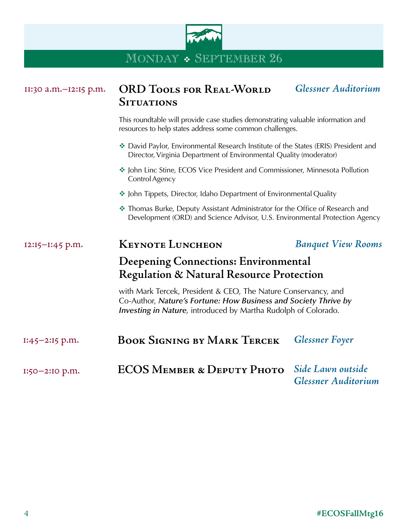

| II:30 a.m.-12:15 p.m. | <b>ORD TOOLS FOR REAL-WORLD</b><br><b>SITUATIONS</b>                                                                                                                                                        | <b>Glessner Auditorium</b>                      |
|-----------------------|-------------------------------------------------------------------------------------------------------------------------------------------------------------------------------------------------------------|-------------------------------------------------|
|                       | This roundtable will provide case studies demonstrating valuable information and<br>resources to help states address some common challenges.                                                                |                                                 |
|                       | David Paylor, Environmental Research Institute of the States (ERIS) President and<br>Director, Virginia Department of Environmental Quality (moderator)                                                     |                                                 |
|                       | • John Linc Stine, ECOS Vice President and Commissioner, Minnesota Pollution<br>Control Agency                                                                                                              |                                                 |
|                       | • John Tippets, Director, Idaho Department of Environmental Quality                                                                                                                                         |                                                 |
|                       | * Thomas Burke, Deputy Assistant Administrator for the Office of Research and<br>Development (ORD) and Science Advisor, U.S. Environmental Protection Agency                                                |                                                 |
| 12:15-1:45 p.m.       | <b>KEYNOTE LUNCHEON</b>                                                                                                                                                                                     | <b>Banquet View Rooms</b>                       |
|                       | Deepening Connections: Environmental                                                                                                                                                                        |                                                 |
|                       | <b>Regulation &amp; Natural Resource Protection</b>                                                                                                                                                         |                                                 |
|                       | with Mark Tercek, President & CEO, The Nature Conservancy, and<br>Co-Author, Nature's Fortune: How Business and Society Thrive by<br><b>Investing in Nature</b> , introduced by Martha Rudolph of Colorado. |                                                 |
| $1:45 - 2:15$ p.m.    | <b>BOOK SIGNING BY MARK TERCEK</b>                                                                                                                                                                          | <b>Glessner Foyer</b>                           |
| 1:50-2:10 p.m.        | <b>ECOS MEMBER &amp; DEPUTY PHOTO</b>                                                                                                                                                                       | Side Lawn outside<br><b>Glessner Auditorium</b> |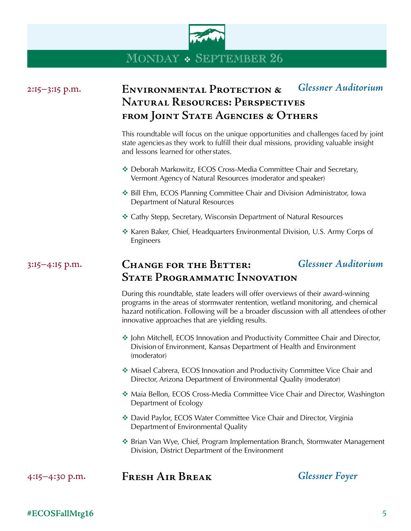

| 2:15-3:15 p.m. | <b>ENVIRONMENTAL PROTECTION &amp;</b><br><b>NATURAL RESOURCES: PERSPECTIVES</b><br>FROM JOINT STATE AGENCIES & OTHERS                                                                                                                                                                                                | <b>Glessner Auditorium</b> |
|----------------|----------------------------------------------------------------------------------------------------------------------------------------------------------------------------------------------------------------------------------------------------------------------------------------------------------------------|----------------------------|
|                | This roundtable will focus on the unique opportunities and challenges faced by joint<br>state agencies as they work to fulfill their dual missions, providing valuable insight<br>and lessons learned for other states.                                                                                              |                            |
|                | * Deborah Markowitz, ECOS Cross-Media Committee Chair and Secretary,<br>Vermont Agency of Natural Resources (moderator and speaker)                                                                                                                                                                                  |                            |
|                | ❖ Bill Ehm, ECOS Planning Committee Chair and Division Administrator, Iowa<br>Department of Natural Resources                                                                                                                                                                                                        |                            |
|                | * Cathy Stepp, Secretary, Wisconsin Department of Natural Resources                                                                                                                                                                                                                                                  |                            |
|                | * Karen Baker, Chief, Headquarters Environmental Division, U.S. Army Corps of<br>Engineers                                                                                                                                                                                                                           |                            |
| 3:15-4:15 p.m. | <b>CHANGE FOR THE BETTER:</b>                                                                                                                                                                                                                                                                                        | <b>Glessner Auditorium</b> |
|                | <b>STATE PROGRAMMATIC INNOVATION</b>                                                                                                                                                                                                                                                                                 |                            |
|                | During this roundtable, state leaders will offer overviews of their award-winning<br>programs in the areas of stormwater rentention, wetland monitoring, and chemical<br>hazard notification. Following will be a broader discussion with all attendees of other<br>innovative approaches that are yielding results. |                            |
|                | ❖ John Mitchell, ECOS Innovation and Productivity Committee Chair and Director,<br>Division of Environment, Kansas Department of Health and Environment<br>(moderator)                                                                                                                                               |                            |
|                | * Misael Cabrera, ECOS Innovation and Productivity Committee Vice Chair and<br>Director, Arizona Department of Environmental Quality (moderator)                                                                                                                                                                     |                            |
|                | * Maia Bellon, ECOS Cross-Media Committee Vice Chair and Director, Washington<br>Department of Ecology                                                                                                                                                                                                               |                            |
|                | * David Paylor, ECOS Water Committee Vice Chair and Director, Virginia<br>Department of Environmental Quality                                                                                                                                                                                                        |                            |
|                | ❖ Brian Van Wye, Chief, Program Implementation Branch, Stormwater Management<br>Division, District Department of the Environment                                                                                                                                                                                     |                            |
| 4:15-4:30 p.m. | <b>FRESH AIR BREAK</b>                                                                                                                                                                                                                                                                                               | <b>Glessner Foyer</b>      |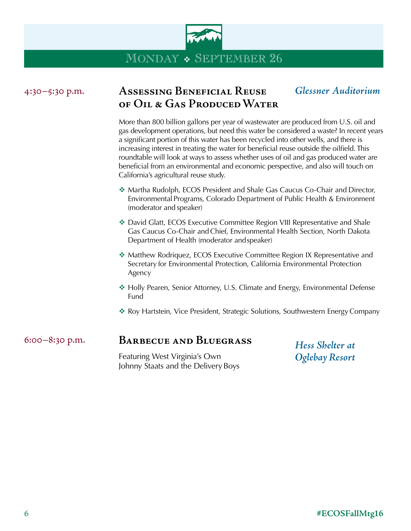

| 4:30-5:30 p.m. | <b>ASSESSING BENEFICIAL REUSE</b><br>OF OIL & GAS PRODUCED WATER                                                                                                                                                                                                                                                                                                                                                                                                                                                                                                                           | <b>Glessner Auditorium</b> |  |
|----------------|--------------------------------------------------------------------------------------------------------------------------------------------------------------------------------------------------------------------------------------------------------------------------------------------------------------------------------------------------------------------------------------------------------------------------------------------------------------------------------------------------------------------------------------------------------------------------------------------|----------------------------|--|
|                | More than 800 billion gallons per year of wastewater are produced from U.S. oil and<br>gas development operations, but need this water be considered a waste? In recent years<br>a significant portion of this water has been recycled into other wells, and there is<br>increasing interest in treating the water for beneficial reuse outside the oilfield. This<br>roundtable will look at ways to assess whether uses of oil and gas produced water are<br>beneficial from an environmental and economic perspective, and also will touch on<br>California's agricultural reuse study. |                            |  |
|                | ❖ Martha Rudolph, ECOS President and Shale Gas Caucus Co-Chair and Director,<br>Environmental Programs, Colorado Department of Public Health & Environment<br>(moderator and speaker)                                                                                                                                                                                                                                                                                                                                                                                                      |                            |  |
|                | ❖ David Glatt, ECOS Executive Committee Region VIII Representative and Shale<br>Gas Caucus Co-Chair and Chief, Environmental Health Section, North Dakota<br>Department of Health (moderator and speaker)                                                                                                                                                                                                                                                                                                                                                                                  |                            |  |
|                | ❖ Matthew Rodriquez, ECOS Executive Committee Region IX Representative and<br>Secretary for Environmental Protection, California Environmental Protection<br>Agency                                                                                                                                                                                                                                                                                                                                                                                                                        |                            |  |
|                | ❖ Holly Pearen, Senior Attorney, U.S. Climate and Energy, Environmental Defense<br>Fund                                                                                                                                                                                                                                                                                                                                                                                                                                                                                                    |                            |  |
|                | ❖ Roy Hartstein, Vice President, Strategic Solutions, Southwestern Energy Company                                                                                                                                                                                                                                                                                                                                                                                                                                                                                                          |                            |  |
| 6:00-8:30 p.m. | <b>BARBECUE AND BLUEGRASS</b>                                                                                                                                                                                                                                                                                                                                                                                                                                                                                                                                                              | Hess Shelter at            |  |
|                | Featuring West Virginia's Own<br>Johnny Staats and the Delivery Boys                                                                                                                                                                                                                                                                                                                                                                                                                                                                                                                       | <b>Oglebay Resort</b>      |  |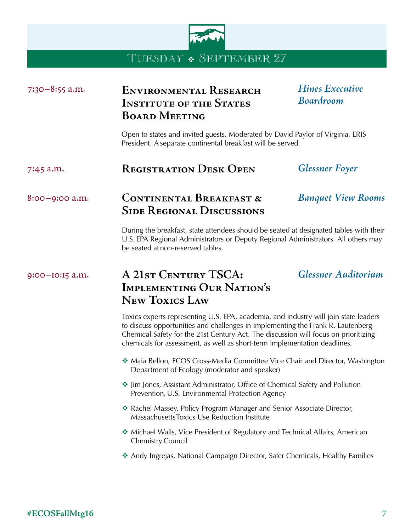

### TUESDAY • SEPTEMBER 27

## **Environmental Research**  7:30–8:55 a.m. *Hines Executive*  **Institute of the States Board Meeting**  *Boardroom* Open to states and invited guests. Moderated by David Paylor of Virginia, ERIS President. A separate continental breakfast will be served. **Registration Desk Open**  7:45 a.m. *Glessner Foyer* **Continental Breakfast &**  8:00–9:00 a.m. *Banquet View Rooms* **Side Regional Discussions**  During the breakfast, state attendees should be seated at designated tables with their U.S. EPA Regional Administrators or Deputy Regional Administrators. All others may be seated at non-reserved tables. **A 21st Century TSCA:**  9:00–10:15 a.m. *Glessner Auditorium* **Implementing Our Nation's New Toxics Law**  Toxics experts representing U.S. EPA, academia, and industry will join state leaders to discuss opportunities and challenges in implementing the Frank R. Lautenberg Chemical Safety for the 21st Century Act. The discussion will focus on prioritizing chemicals for assessment, as well as short-term implementation deadlines. ◆ Maia Bellon, ECOS Cross-Media Committee Vice Chair and Director, Washington Department of Ecology (moderator and speaker) v Jim Jones, Assistant Administrator, Office of Chemical Safety and Pollution Prevention, U.S. Environmental Protection Agency \* Rachel Massey, Policy Program Manager and Senior Associate Director, Massachusetts Toxics Use Reduction Institute v Michael Walls, Vice President of Regulatory and Technical Affairs, American Chemistry Council \* Andy Ingrejas, National Campaign Director, Safer Chemicals, Healthy Families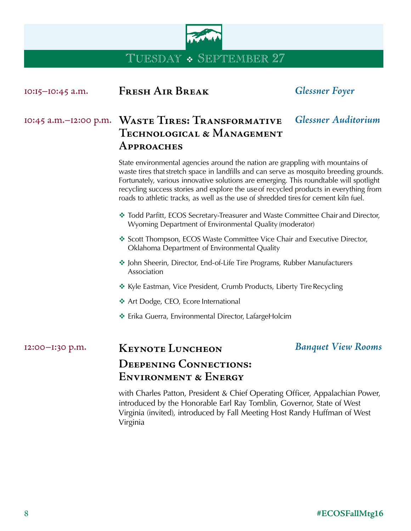

TUESDAY • SEPTEMBER 27

| IO:15-IO:45 a.m.      | <b>FRESH AIR BREAK</b>                                                                                                                                                                                                                                                                                                                                                                                                                               | <b>Glessner Foyer</b>      |  |
|-----------------------|------------------------------------------------------------------------------------------------------------------------------------------------------------------------------------------------------------------------------------------------------------------------------------------------------------------------------------------------------------------------------------------------------------------------------------------------------|----------------------------|--|
| 10:45 a.m.-12:00 p.m. | WASTE TIRES: TRANSFORMATIVE<br>TECHNOLOGICAL & MANAGEMENT<br>APPROACHES                                                                                                                                                                                                                                                                                                                                                                              | <b>Glessner Auditorium</b> |  |
|                       | State environmental agencies around the nation are grappling with mountains of<br>waste tires that stretch space in landfills and can serve as mosquito breeding grounds.<br>Fortunately, various innovative solutions are emerging. This roundtable will spotlight<br>recycling success stories and explore the use of recycled products in everything from<br>roads to athletic tracks, as well as the use of shredded tires for cement kiln fuel. |                            |  |
|                       | * Todd Parfitt, ECOS Secretary-Treasurer and Waste Committee Chair and Director,<br>Wyoming Department of Environmental Quality (moderator)                                                                                                                                                                                                                                                                                                          |                            |  |
|                       | Scott Thompson, ECOS Waste Committee Vice Chair and Executive Director,<br>Oklahoma Department of Environmental Quality                                                                                                                                                                                                                                                                                                                              |                            |  |
|                       | * John Sheerin, Director, End-of-Life Tire Programs, Rubber Manufacturers<br>Association                                                                                                                                                                                                                                                                                                                                                             |                            |  |
|                       | ❖ Kyle Eastman, Vice President, Crumb Products, Liberty Tire Recycling                                                                                                                                                                                                                                                                                                                                                                               |                            |  |
|                       | ❖ Art Dodge, CEO, Ecore International                                                                                                                                                                                                                                                                                                                                                                                                                |                            |  |
|                       | ❖ Erika Guerra, Environmental Director, LafargeHolcim                                                                                                                                                                                                                                                                                                                                                                                                |                            |  |
| 12:00-1:30 p.m.       | <b>KEYNOTE LUNCHEON</b>                                                                                                                                                                                                                                                                                                                                                                                                                              | <b>Banquet View Rooms</b>  |  |
|                       | <b>DEEPENING CONNECTIONS:</b><br><b>ENVIRONMENT &amp; ENERGY</b>                                                                                                                                                                                                                                                                                                                                                                                     |                            |  |
|                       | with Charles Patton, President & Chief Operating Officer, Appalachian Power,<br>introduced by the Honorable Earl Ray Tomblin, Governor, State of West                                                                                                                                                                                                                                                                                                |                            |  |

Virginia

Virginia (invited), introduced by Fall Meeting Host Randy Huffman of West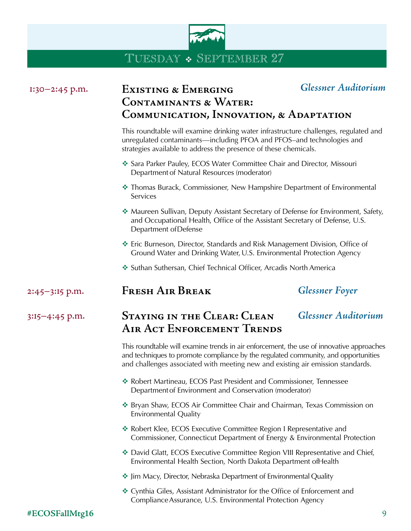

# TUESDAY  $\bullet$  SEPTEMBER 27

| $1:30-2:45$ p.m.   | <b>EXISTING &amp; EMERGING</b><br><b>CONTAMINANTS &amp; WATER:</b><br><b>COMMUNICATION, INNOVATION, &amp; ADAPTATION</b>                                                                                                                                          | <b>Glessner Auditorium</b> |
|--------------------|-------------------------------------------------------------------------------------------------------------------------------------------------------------------------------------------------------------------------------------------------------------------|----------------------------|
|                    | This roundtable will examine drinking water infrastructure challenges, regulated and<br>unregulated contaminants—including PFOA and PFOS-and technologies and<br>strategies available to address the presence of these chemicals.                                 |                            |
|                    | Sara Parker Pauley, ECOS Water Committee Chair and Director, Missouri<br>Department of Natural Resources (moderator)                                                                                                                                              |                            |
|                    | * Thomas Burack, Commissioner, New Hampshire Department of Environmental<br>Services                                                                                                                                                                              |                            |
|                    | ❖ Maureen Sullivan, Deputy Assistant Secretary of Defense for Environment, Safety,<br>and Occupational Health, Office of the Assistant Secretary of Defense, U.S.<br>Department of Defense                                                                        |                            |
|                    | ❖ Eric Burneson, Director, Standards and Risk Management Division, Office of<br>Ground Water and Drinking Water, U.S. Environmental Protection Agency                                                                                                             |                            |
|                    | ❖ Suthan Suthersan, Chief Technical Officer, Arcadis North America                                                                                                                                                                                                |                            |
| 2:45-3:15 p.m.     | <b>FRESH AIR BREAK</b>                                                                                                                                                                                                                                            | <b>Glessner Foyer</b>      |
| $3:15 - 4:45$ p.m. | <b>STAYING IN THE CLEAR: CLEAN</b><br>AIR ACT ENFORCEMENT TRENDS                                                                                                                                                                                                  | <b>Glessner Auditorium</b> |
|                    | This roundtable will examine trends in air enforcement, the use of innovative approaches<br>and techniques to promote compliance by the regulated community, and opportunities<br>and challenges associated with meeting new and existing air emission standards. |                            |
|                    | * Robert Martineau, ECOS Past President and Commissioner, Tennessee<br>Department of Environment and Conservation (moderator)                                                                                                                                     |                            |
|                    | * Bryan Shaw, ECOS Air Committee Chair and Chairman, Texas Commission on<br><b>Environmental Quality</b>                                                                                                                                                          |                            |
|                    | * Robert Klee, ECOS Executive Committee Region I Representative and<br>Commissioner, Connecticut Department of Energy & Environmental Protection                                                                                                                  |                            |
|                    | ❖ David Glatt, ECOS Executive Committee Region VIII Representative and Chief,<br>Environmental Health Section, North Dakota Department of Health                                                                                                                  |                            |
|                    | • Jim Macy, Director, Nebraska Department of Environmental Quality                                                                                                                                                                                                |                            |
|                    | ❖ Cynthia Giles, Assistant Administrator for the Office of Enforcement and<br>Compliance Assurance, U.S. Environmental Protection Agency                                                                                                                          |                            |

### **#ECOSFallMtg16** 9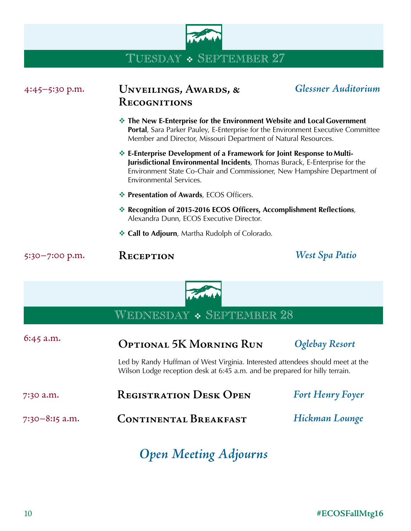

## TUESDAY  $\bullet$  SEPTEMBER 27

| $4:45 - 5:30$ p.m. | UNVEILINGS, AWARDS, &<br><b>RECOGNITIONS</b>                                                                                                                                                                                                                 | <b>Glessner Auditorium</b> |
|--------------------|--------------------------------------------------------------------------------------------------------------------------------------------------------------------------------------------------------------------------------------------------------------|----------------------------|
|                    | The New E-Enterprise for the Environment Website and Local Government<br><b>Portal, Sara Parker Pauley, E-Enterprise for the Environment Executive Committee</b><br>Member and Director, Missouri Department of Natural Resources.                           |                            |
|                    | ❖ E-Enterprise Development of a Framework for Joint Response to Multi-<br>Jurisdictional Environmental Incidents, Thomas Burack, E-Enterprise for the<br>Environment State Co-Chair and Commissioner, New Hampshire Department of<br>Environmental Services. |                            |
|                    | <b>ECOS</b> Officers. Presentation of Awards, ECOS Officers.                                                                                                                                                                                                 |                            |
|                    | Execognition of 2015-2016 ECOS Officers, Accomplishment Reflections,<br>Alexandra Dunn, ECOS Executive Director.                                                                                                                                             |                            |
|                    | ❖ Call to Adjourn, Martha Rudolph of Colorado.                                                                                                                                                                                                               |                            |
| $5:30 - 7:00$ p.m. | <b>RECEPTION</b>                                                                                                                                                                                                                                             | <b>West Spa Patio</b>      |

WEDNESDAY  $\bullet$  SEPTEMBER 28

| $6:45$ a.m.      | OPTIONAL 5K MORNING RUN                                                                                                                                       | <b>Oglebay Resort</b>   |
|------------------|---------------------------------------------------------------------------------------------------------------------------------------------------------------|-------------------------|
|                  | Led by Randy Huffman of West Virginia. Interested attendees should meet at the<br>Wilson Lodge reception desk at 6:45 a.m. and be prepared for hilly terrain. |                         |
| 7:30 a.m.        | <b>REGISTRATION DESK OPEN</b>                                                                                                                                 | <b>Fort Henry Foyer</b> |
| $7:30-8:15$ a.m. | <b>CONTINENTAL BREAKFAST</b>                                                                                                                                  | Hickman Lounge          |
|                  |                                                                                                                                                               |                         |

## *Open Meeting Adjourns*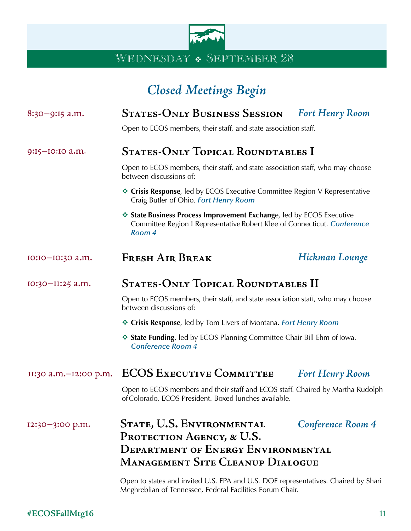

### WEDNESDAY • SEPTEMBER 28

# *Closed Meetings Begin*

### 8:30–9:15 a.m. **States-Only Business Session** *Fort Henry Room*

Open to ECOS members, their staff, and state association staff.

#### 9:15–10:10 a.m. **States-Only Topical Roundtables I**

Open to ECOS members, their staff, and state association staff, who may choose between discussions of:

- **Executive Crisis Response**, led by ECOS Executive Committee Region V Representative Craig Butler of Ohio. *Fort Henry Room*
- **Example 3 State Business Process Improvement Exchange, led by ECOS Executive** Committee Region I Representative Robert Klee of Connecticut. *Conference Room 4*

#### 10:10–10:30 a.m. **Fresh Air Break** *Hickman Lounge*

#### 10:30–11:25 a.m. **States-Only Topical Roundtables II**

Open to ECOS members, their staff, and state association staff, who may choose between discussions of:

- v **Crisis Response**, led by Tom Livers of Montana. *Fort Henry Room*
- **State Funding**, led by ECOS Planning Committee Chair Bill Ehm of Iowa. *Conference Room 4*

### 11:30 a.m.–12:00 p.m. **ECOS Executive Committee** *Fort Henry Room*

Open to ECOS members and their staff and ECOS staff. Chaired by Martha Rudolph of Colorado, ECOS President. Boxed lunches available.

### **State, U.S. Environmental**  12:30–3:00 p.m. *Conference Room 4* PROTECTION AGENCY, & U.S. **Department of Energy Environmental Management Site Cleanup Dialogue**

Open to states and invited U.S. EPA and U.S. DOE representatives. Chaired by Shari Meghreblian of Tennessee, Federal Facilities Forum Chair.